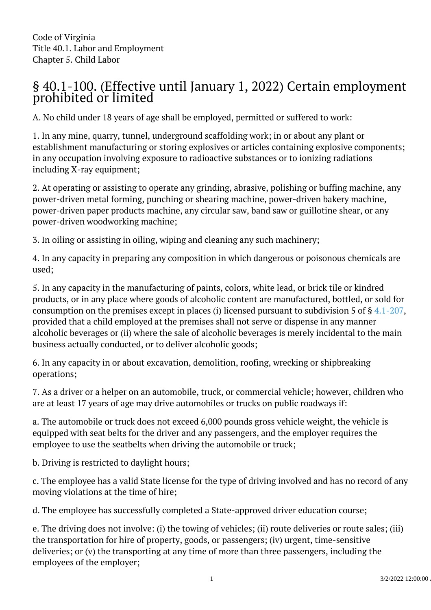## § 40.1-100. (Effective until January 1, 2022) Certain employment prohibited or limited  $\overline{a}$

A. No child under 18 years of age shall be employed, permitted or suffered to work:

1. In any mine, quarry, tunnel, underground scaffolding work; in or about any plant or establishment manufacturing or storing explosives or articles containing explosive components; in any occupation involving exposure to radioactive substances or to ionizing radiations including X-ray equipment;

2. At operating or assisting to operate any grinding, abrasive, polishing or buffing machine, any power-driven metal forming, punching or shearing machine, power-driven bakery machine, power-driven paper products machine, any circular saw, band saw or guillotine shear, or any power-driven woodworking machine; <sup>"</sup>

3. In oiling or assisting in oiling, wiping and cleaning any such machinery;

4. In any capacity in preparing any composition in which dangerous or poisonous chemicals are used;

5. In any capacity in the manufacturing of paints, colors, white lead, or brick tile or kindred products, or in any place where goods of alcoholic content are manufactured, bottled, or sold for consumption on the premises except in places (i) licensed pursuant to subdivision 5 of § [4.1-207](/vacode/4.1-207/), provided that a child employed at the premises shall not serve or dispense in any manner alcoholic beverages or (ii) where the sale of alcoholic beverages is merely incidental to the main business actually conducted, or to deliver alcoholic goods;

6. In any capacity in or about excavation, demolition, roofing, wrecking or shipbreaking operations;

7. As a driver or a helper on an automobile, truck, or commercial vehicle; however, children who are at least 17 years of age may drive automobiles or trucks on public roadways if:

a. The automobile or truck does not exceed 6,000 pounds gross vehicle weight, the vehicle is equipped with seat belts for the driver and any passengers, and the employer requires the employee to use the seatbelts when driving the automobile or truck;

b. Driving is restricted to daylight hours;

c. The employee has a valid State license for the type of driving involved and has no record of any moving violations at the time of hire;

d. The employee has successfully completed a State-approved driver education course;

e. The driving does not involve: (i) the towing of vehicles; (ii) route deliveries or route sales; (iii) the transportation for hire of property, goods, or passengers; (iv) urgent, time-sensitive deliveries; or (v) the transporting at any time of more than three passengers, including the employees of the employer;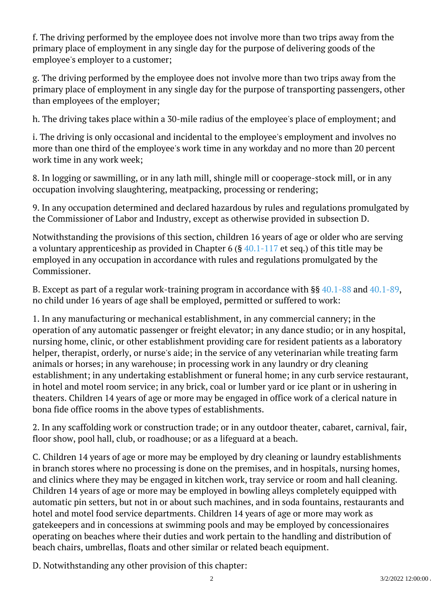f. The driving performed by the employee does not involve more than two trips away from the primary place of employment in any single day for the purpose of delivering goods of the employee's employer to a customer;

g. The driving performed by the employee does not involve more than two trips away from the primary place of employment in any single day for the purpose of transporting passengers, other than employees of the employer;

h. The driving takes place within a 30-mile radius of the employee's place of employment; and

i. The driving is only occasional and incidental to the employee's employment and involves no more than one third of the employee's work time in any workday and no more than 20 percent work time in any work week;

8. In logging or sawmilling, or in any lath mill, shingle mill or cooperage-stock mill, or in any occupation involving slaughtering, meatpacking, processing or rendering;

9. In any occupation determined and declared hazardous by rules and regulations promulgated by the Commissioner of Labor and Industry, except as otherwise provided in subsection D.

Notwithstanding the provisions of this section, children 16 years of age or older who are serving a voluntary apprenticeship as provided in Chapter 6 (§  $40.1-117$  et seq.) of this title may be employed in any occupation in accordance with rules and regulations promulgated by the Commissioner.

B. Except as part of a regular work-training program in accordance with §§ [40.1-88](/vacode/40.1-88/) and [40.1-89](/vacode/40.1-89/), no child under 16 years of age shall be employed, permitted or suffered to work:

1. In any manufacturing or mechanical establishment, in any commercial cannery; in the operation of any automatic passenger or freight elevator; in any dance studio; or in any hospital, nursing home, clinic, or other establishment providing care for resident patients as a laboratory helper, therapist, orderly, or nurse's aide; in the service of any veterinarian while treating farm animals or horses; in any warehouse; in processing work in any laundry or dry cleaning establishment; in any undertaking establishment or funeral home; in any curb service restaurant, in hotel and motel room service; in any brick, coal or lumber yard or ice plant or in ushering in theaters. Children 14 years of age or more may be engaged in office work of a clerical nature in bona fide office rooms in the above types of establishments.

2. In any scaffolding work or construction trade; or in any outdoor theater, cabaret, carnival, fair, floor show, pool hall, club, or roadhouse; or as a lifeguard at a beach.

C. Children 14 years of age or more may be employed by dry cleaning or laundry establishments in branch stores where no processing is done on the premises, and in hospitals, nursing homes, and clinics where they may be engaged in kitchen work, tray service or room and hall cleaning. Children 14 years of age or more may be employed in bowling alleys completely equipped with automatic pin setters, but not in or about such machines, and in soda fountains, restaurants and hotel and motel food service departments. Children 14 years of age or more may work as gatekeepers and in concessions at swimming pools and may be employed by concessionaires operating on beaches where their duties and work pertain to the handling and distribution of beach chairs, umbrellas, floats and other similar or related beach equipment.

D. Notwithstanding any other provision of this chapter: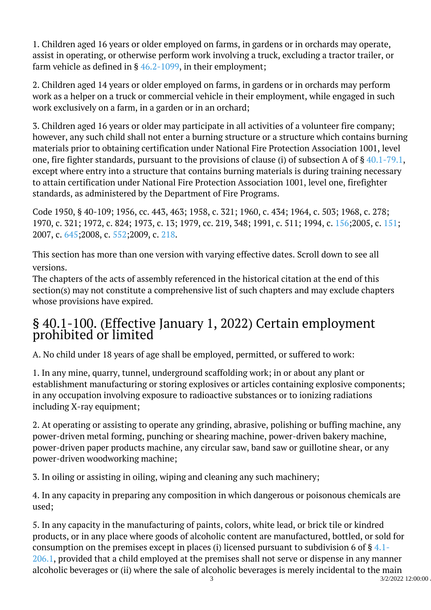1. Children aged 16 years or older employed on farms, in gardens or in orchards may operate, assist in operating, or otherwise perform work involving a truck, excluding a tractor trailer, or farm vehicle as defined in § [46.2-1099](/vacode/46.2-1099/), in their employment;

2. Children aged 14 years or older employed on farms, in gardens or in orchards may perform work as a helper on a truck or commercial vehicle in their employment, while engaged in such work exclusively on a farm, in a garden or in an orchard;

3. Children aged 16 years or older may participate in all activities of a volunteer fire company; however, any such child shall not enter a burning structure or a structure which contains burning materials prior to obtaining certification under National Fire Protection Association 1001, level one, fire fighter standards, pursuant to the provisions of clause (i) of subsection A of § [40.1-79.1](/vacode/40.1-79.1/), except where entry into a structure that contains burning materials is during training necessary to attain certification under National Fire Protection Association 1001, level one, firefighter standards, as administered by the Department of Fire Programs. Ĩ

Code 1950, § 40-109; 1956, cc. 443, 463; 1958, c. 321; 1960, c. 434; 1964, c. 503; 1968, c. 278; 1970, c. 321; 1972, c. 824; 1973, c. 13; 1979, cc. 219, 348; 1991, c. 511; 1994, c. [156;2](http://lis.virginia.gov/cgi-bin/legp604.exe?941+ful+CHAP0156)005, c. [151;](http://lis.virginia.gov/cgi-bin/legp604.exe?051+ful+CHAP0151) 2007, c. [645;2](http://lis.virginia.gov/cgi-bin/legp604.exe?071+ful+CHAP0645)008, c. [552;2](http://lis.virginia.gov/cgi-bin/legp604.exe?081+ful+CHAP0552)009, c. [218.](http://lis.virginia.gov/cgi-bin/legp604.exe?091+ful+CHAP0218)

This section has more than one version with varying effective dates. Scroll down to see all versions.

The chapters of the acts of assembly referenced in the historical citation at the end of this section(s) may not constitute a comprehensive list of such chapters and may exclude chapters whose provisions have expired.

## § 40.1-100. (Effective January 1, 2022) Certain employment prohibited or limited  $\overline{a}$

A. No child under 18 years of age shall be employed, permitted, or suffered to work:

1. In any mine, quarry, tunnel, underground scaffolding work; in or about any plant or establishment manufacturing or storing explosives or articles containing explosive components; in any occupation involving exposure to radioactive substances or to ionizing radiations including X-ray equipment;

2. At operating or assisting to operate any grinding, abrasive, polishing or buffing machine, any power-driven metal forming, punching or shearing machine, power-driven bakery machine, power-driven paper products machine, any circular saw, band saw or guillotine shear, or any power-driven woodworking machine; <sup>"</sup>

3. In oiling or assisting in oiling, wiping and cleaning any such machinery;

4. In any capacity in preparing any composition in which dangerous or poisonous chemicals are used;

5. In any capacity in the manufacturing of paints, colors, white lead, or brick tile or kindred products, or in any place where goods of alcoholic content are manufactured, bottled, or sold for consumption on the premises except in places (i) licensed pursuant to subdivision 6 of  $\S 4.1$ [206.1,](/vacode/4.1-206.1/) provided that a child employed at the premises shall not serve or dispense in any manner alcoholic beverages or (ii) where the sale of alcoholic beverages is merely incidental to the main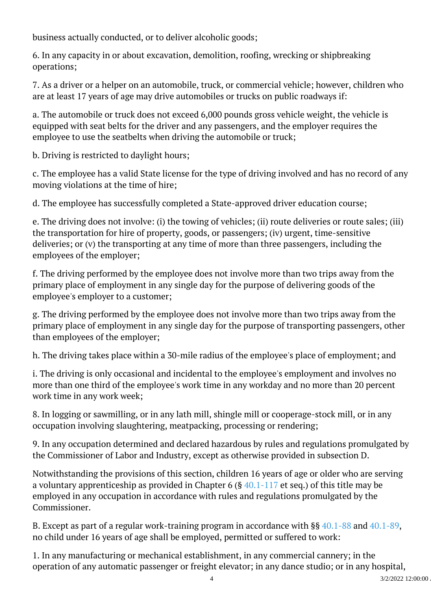business actually conducted, or to deliver alcoholic goods;

6. In any capacity in or about excavation, demolition, roofing, wrecking or shipbreaking operations;

7. As a driver or a helper on an automobile, truck, or commercial vehicle; however, children who are at least 17 years of age may drive automobiles or trucks on public roadways if: Ĩ

a. The automobile or truck does not exceed 6,000 pounds gross vehicle weight, the vehicle is equipped with seat belts for the driver and any passengers, and the employer requires the employee to use the seatbelts when driving the automobile or truck;

b. Driving is restricted to daylight hours;

c. The employee has a valid State license for the type of driving involved and has no record of any moving violations at the time of hire;

d. The employee has successfully completed a State-approved driver education course;

e. The driving does not involve: (i) the towing of vehicles; (ii) route deliveries or route sales; (iii) the transportation for hire of property, goods, or passengers; (iv) urgent, time-sensitive deliveries; or (v) the transporting at any time of more than three passengers, including the employees of the employer;

f. The driving performed by the employee does not involve more than two trips away from the primary place of employment in any single day for the purpose of delivering goods of the employee's employer to a customer;

g. The driving performed by the employee does not involve more than two trips away from the primary place of employment in any single day for the purpose of transporting passengers, other than employees of the employer;

h. The driving takes place within a 30-mile radius of the employee's place of employment; and

i. The driving is only occasional and incidental to the employee's employment and involves no more than one third of the employee's work time in any workday and no more than 20 percent work time in any work week;

8. In logging or sawmilling, or in any lath mill, shingle mill or cooperage-stock mill, or in any occupation involving slaughtering, meatpacking, processing or rendering;

9. In any occupation determined and declared hazardous by rules and regulations promulgated by the Commissioner of Labor and Industry, except as otherwise provided in subsection D.

Notwithstanding the provisions of this section, children 16 years of age or older who are serving a voluntary apprenticeship as provided in Chapter 6 (§  $40.1-117$  et seq.) of this title may be employed in any occupation in accordance with rules and regulations promulgated by the Commissioner.

B. Except as part of a regular work-training program in accordance with §§ [40.1-88](/vacode/40.1-88/) and [40.1-89](/vacode/40.1-89/), no child under 16 years of age shall be employed, permitted or suffered to work:

1. In any manufacturing or mechanical establishment, in any commercial cannery; in the operation of any automatic passenger or freight elevator; in any dance studio; or in any hospital,